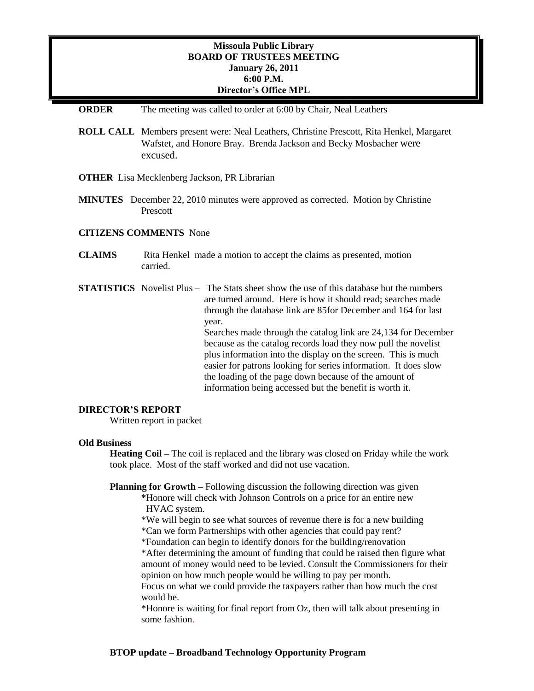# **Missoula Public Library BOARD OF TRUSTEES MEETING January 26, 2011 6:00 P.M. Director's Office MPL**

### **ORDER** The meeting was called to order at 6:00 by Chair, Neal Leathers

- **ROLL CALL** Members present were: Neal Leathers, Christine Prescott, Rita Henkel, Margaret Wafstet, and Honore Bray. Brenda Jackson and Becky Mosbacher were excused.
- **OTHER** Lisa Mecklenberg Jackson, PR Librarian
- **MINUTES** December 22, 2010 minutes were approved as corrected. Motion by Christine Prescott

#### **CITIZENS COMMENTS** None

- **CLAIMS** Rita Henkel made a motion to accept the claims as presented, motion carried.
- **STATISTICS** Novelist Plus The Stats sheet show the use of this database but the numbers are turned around. Here is how it should read; searches made through the database link are 85for December and 164 for last year. Searches made through the catalog link are 24,134 for December because as the catalog records load they now pull the novelist plus information into the display on the screen. This is much easier for patrons looking for series information. It does slow the loading of the page down because of the amount of information being accessed but the benefit is worth it.

### **DIRECTOR'S REPORT**

Written report in packet

## **Old Business**

**Heating Coil –** The coil is replaced and the library was closed on Friday while the work took place. Most of the staff worked and did not use vacation.

**Planning for Growth –** Following discussion the following direction was given

**\***Honore will check with Johnson Controls on a price for an entire new HVAC system.

\*We will begin to see what sources of revenue there is for a new building \*Can we form Partnerships with other agencies that could pay rent?

\*Foundation can begin to identify donors for the building/renovation

\*After determining the amount of funding that could be raised then figure what amount of money would need to be levied. Consult the Commissioners for their opinion on how much people would be willing to pay per month.

Focus on what we could provide the taxpayers rather than how much the cost would be.

\*Honore is waiting for final report from Oz, then will talk about presenting in some fashion.

## **BTOP update – Broadband Technology Opportunity Program**